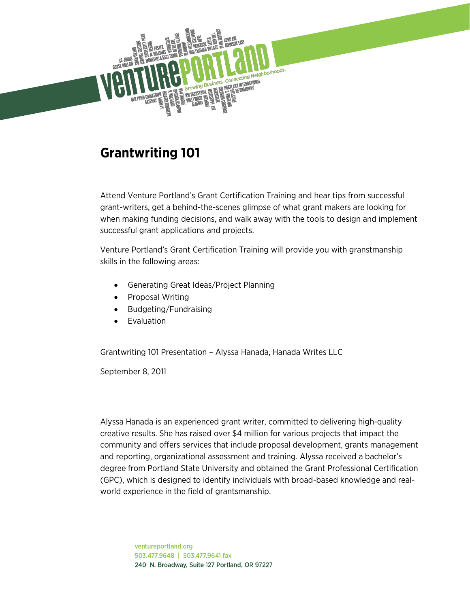

# **Grantwriting 101**

Attend Venture Portland's Grant Certification Training and hear tips from successful grant-writers, get a behind-the-scenes glimpse of what grant makers are looking for when making funding decisions, and walk away with the tools to design and implement successful grant applications and projects.

Venture Portland's Grant Certification Training will provide you with granstmanship skills in the following areas:

- Generating Great Ideas/Project Planning
- Proposal Writing
- Budgeting/Fundraising
- **Evaluation**

Grantwriting 101 Presentation – Alyssa Hanada, Hanada Writes LLC

September 8, 2011

Alyssa Hanada is an experienced grant writer, committed to delivering high-quality creative results. She has raised over \$4 million for various projects that impact the community and offers services that include proposal development, grants management and reporting, organizational assessment and training. Alyssa received a bachelor's degree from Portland State University and obtained the Grant Professional Certification (GPC), which is designed to identify individuals with broad-based knowledge and realworld experience in the field of grantsmanship.

> ventureportland.org 503.477.9648 | 503.477.9641 fax 240 N. Broadway, Suite 127 Portland, OR 97227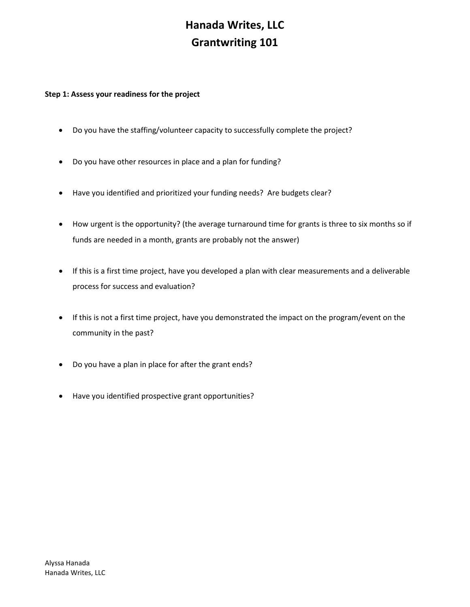### **Step 1: Assess your readiness for the project**

- Do you have the staffing/volunteer capacity to successfully complete the project?
- Do you have other resources in place and a plan for funding?
- Have you identified and prioritized your funding needs? Are budgets clear?
- How urgent is the opportunity? (the average turnaround time for grants is three to six months so if funds are needed in a month, grants are probably not the answer)
- If this is a first time project, have you developed a plan with clear measurements and a deliverable process for success and evaluation?
- If this is not a first time project, have you demonstrated the impact on the program/event on the community in the past?
- Do you have a plan in place for after the grant ends?
- Have you identified prospective grant opportunities?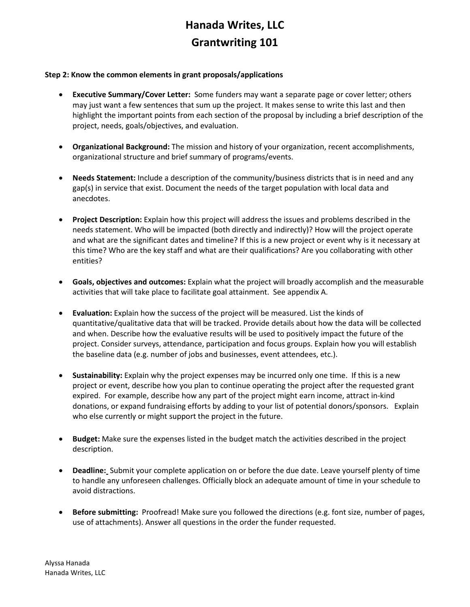#### **Step 2: Know the common elements in grant proposals/applications**

- **Executive Summary/Cover Letter:** Some funders may want a separate page or cover letter; others may just want a few sentences that sum up the project. It makes sense to write this last and then highlight the important points from each section of the proposal by including a brief description of the project, needs, goals/objectives, and evaluation.
- **Organizational Background:** The mission and history of your organization, recent accomplishments, organizational structure and brief summary of programs/events.
- **Needs Statement:** Include a description of the community/business districts that is in need and any gap(s) in service that exist. Document the needs of the target population with local data and anecdotes.
- **Project Description:** Explain how this project will address the issues and problems described in the needs statement. Who will be impacted (both directly and indirectly)? How will the project operate and what are the significant dates and timeline? If this is a new project or event why is it necessary at this time? Who are the key staff and what are their qualifications? Are you collaborating with other entities?
- **Goals, objectives and outcomes:** Explain what the project will broadly accomplish and the measurable activities that will take place to facilitate goal attainment. See appendix A.
- **Evaluation:** Explain how the success of the project will be measured. List the kinds of quantitative/qualitative data that will be tracked. Provide details about how the data will be collected and when. Describe how the evaluative results will be used to positively impact the future of the project. Consider surveys, attendance, participation and focus groups. Explain how you will establish the baseline data (e.g. number of jobs and businesses, event attendees, etc.).
- **Sustainability:** Explain why the project expenses may be incurred only one time. If this is a new project or event, describe how you plan to continue operating the project after the requested grant expired. For example, describe how any part of the project might earn income, attract in-kind donations, or expand fundraising efforts by adding to your list of potential donors/sponsors. Explain who else currently or might support the project in the future.
- **Budget:** Make sure the expenses listed in the budget match the activities described in the project description.
- **Deadline:** Submit your complete application on or before the due date. Leave yourself plenty of time to handle any unforeseen challenges. Officially block an adequate amount of time in your schedule to avoid distractions.
- **Before submitting:** Proofread! Make sure you followed the directions (e.g. font size, number of pages, use of attachments). Answer all questions in the order the funder requested.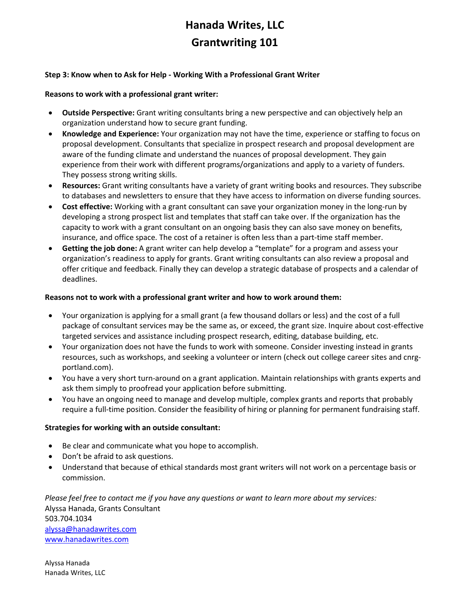### **Step 3: Know when to Ask for Help - Working With a Professional Grant Writer**

#### **Reasons to work with a professional grant writer:**

- **Outside Perspective:** Grant writing consultants bring a new perspective and can objectively help an organization understand how to secure grant funding.
- **Knowledge and Experience:** Your organization may not have the time, experience or staffing to focus on proposal development. Consultants that specialize in prospect research and proposal development are aware of the funding climate and understand the nuances of proposal development. They gain experience from their work with different programs/organizations and apply to a variety of funders. They possess strong writing skills.
- **Resources:** Grant writing consultants have a variety of grant writing books and resources. They subscribe to databases and newsletters to ensure that they have access to information on diverse funding sources.
- **Cost effective:** Working with a grant consultant can save your organization money in the long-run by developing a strong prospect list and templates that staff can take over. If the organization has the capacity to work with a grant consultant on an ongoing basis they can also save money on benefits, insurance, and office space. The cost of a retainer is often less than a part-time staff member.
- **Getting the job done:** A grant writer can help develop a "template" for a program and assess your organization's readiness to apply for grants. Grant writing consultants can also review a proposal and offer critique and feedback. Finally they can develop a strategic database of prospects and a calendar of deadlines.

### **Reasons not to work with a professional grant writer and how to work around them:**

- Your organization is applying for a small grant (a few thousand dollars or less) and the cost of a full package of consultant services may be the same as, or exceed, the grant size. Inquire about cost-effective targeted services and assistance including prospect research, editing, database building, etc.
- Your organization does not have the funds to work with someone. Consider investing instead in grants resources, such as workshops, and seeking a volunteer or intern (check out college career sites and cnrgportland.com).
- You have a very short turn-around on a grant application. Maintain relationships with grants experts and ask them simply to proofread your application before submitting.
- You have an ongoing need to manage and develop multiple, complex grants and reports that probably require a full-time position. Consider the feasibility of hiring or planning for permanent fundraising staff.

### **Strategies for working with an outside consultant:**

- Be clear and communicate what you hope to accomplish.
- Don't be afraid to ask questions.
- Understand that because of ethical standards most grant writers will not work on a percentage basis or commission.

*Please feel free to contact me if you have any questions or want to learn more about my services:* Alyssa Hanada, Grants Consultant 503.704.1034 [alyssa@hanadawrites.com](mailto:alyssa@hanadawrites.com) [www.hanadawrites.com](http://www.hanadawrites.com/)

Alyssa Hanada Hanada Writes, LLC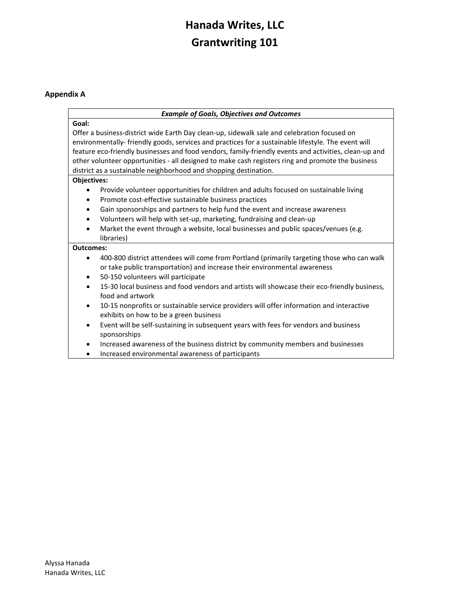### **Appendix A**

#### *Example of Goals, Objectives and Outcomes*

### **Goal:**

Offer a business-district wide Earth Day clean-up, sidewalk sale and celebration focused on environmentally- friendly goods, services and practices for a sustainable lifestyle. The event will feature eco-friendly businesses and food vendors, family-friendly events and activities, clean-up and other volunteer opportunities - all designed to make cash registers ring and promote the business district as a sustainable neighborhood and shopping destination.

#### **Objectives:**

- Provide volunteer opportunities for children and adults focused on sustainable living
- Promote cost-effective sustainable business practices
- Gain sponsorships and partners to help fund the event and increase awareness
- Volunteers will help with set-up, marketing, fundraising and clean-up
- Market the event through a website, local businesses and public spaces/venues (e.g. libraries)

#### **Outcomes:**

- 400-800 district attendees will come from Portland (primarily targeting those who can walk or take public transportation) and increase their environmental awareness
- 50-150 volunteers will participate
- 15-30 local business and food vendors and artists will showcase their eco-friendly business, food and artwork
- 10-15 nonprofits or sustainable service providers will offer information and interactive exhibits on how to be a green business
- Event will be self-sustaining in subsequent years with fees for vendors and business sponsorships
- Increased awareness of the business district by community members and businesses
- Increased environmental awareness of participants